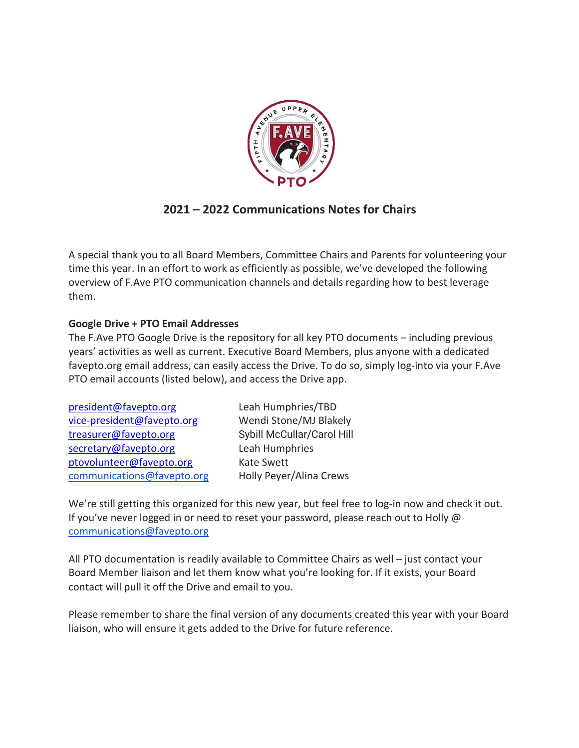

## **2021 – 2022 Communications Notes for Chairs**

A special thank you to all Board Members, Committee Chairs and Parents for volunteering your time this year. In an effort to work as efficiently as possible, we've developed the following overview of F.Ave PTO communication channels and details regarding how to best leverage them.

## **Google Drive + PTO Email Addresses**

The F.Ave PTO Google Drive is the repository for all key PTO documents – including previous years' activities as well as current. Executive Board Members, plus anyone with a dedicated favepto.org email address, can easily access the Drive. To do so, simply log-into via your F.Ave PTO email accounts (listed below), and access the Drive app.

| Leah Humphries/TBD         |
|----------------------------|
| Wendi Stone/MJ Blakely     |
| Sybill McCullar/Carol Hill |
| Leah Humphries             |
| <b>Kate Swett</b>          |
| Holly Peyer/Alina Crews    |
|                            |

We're still getting this organized for this new year, but feel free to log-in now and check it out. If you've never logged in or need to reset your password, please reach out to Holly @ communications@favepto.org

All PTO documentation is readily available to Committee Chairs as well – just contact your Board Member liaison and let them know what you're looking for. If it exists, your Board contact will pull it off the Drive and email to you.

Please remember to share the final version of any documents created this year with your Board liaison, who will ensure it gets added to the Drive for future reference.